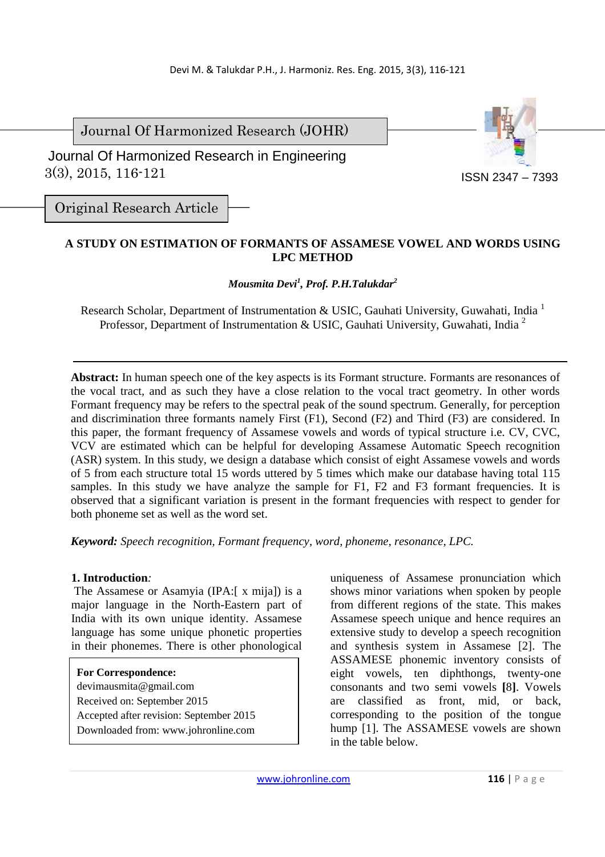Journal Of Harmonized Research (JOHR)

 3(3), 2015, 116-121 Journal Of Harmonized Research in Engineering



Original Research Article

# **A STUDY ON ESTIMATION OF FORMANTS OF ASSAMESE VOWEL AND WORDS USING LPC METHOD**

# *Mousmita Devi<sup>1</sup> , Prof. P.H.Talukdar<sup>2</sup>*

Research Scholar, Department of Instrumentation & USIC, Gauhati University, Guwahati, India<sup>1</sup> Professor, Department of Instrumentation & USIC, Gauhati University, Guwahati, India<sup>2</sup>

**Abstract:** In human speech one of the key aspects is its Formant structure. Formants are resonances of the vocal tract, and as such they have a close relation to the vocal tract geometry. In other words Formant frequency may be refers to the spectral peak of the sound spectrum. Generally, for perception and discrimination three formants namely First (F1), Second (F2) and Third (F3) are considered. In this paper, the formant frequency of Assamese vowels and words of typical structure i.e. CV, CVC, VCV are estimated which can be helpful for developing Assamese Automatic Speech recognition (ASR) system. In this study, we design a database which consist of eight Assamese vowels and words of 5 from each structure total 15 words uttered by 5 times which make our database having total 115 samples. In this study we have analyze the sample for F1, F2 and F3 formant frequencies. It is observed that a significant variation is present in the formant frequencies with respect to gender for both phoneme set as well as the word set.

*Keyword: Speech recognition, Formant frequency, word, phoneme, resonance, LPC.* 

## **1. Introduction***:*

 The Assamese or Asamyia (IPA:[ x mija]) is a major language in the North-Eastern part of India with its own unique identity. Assamese language has some unique phonetic properties in their phonemes. There is other phonological

# **For Correspondence:**

- devimausmita@gmail.com Received on: September 2015 Accepted after revision: September 2015
- Downloaded from: www.johronline.com

uniqueness of Assamese pronunciation which shows minor variations when spoken by people from different regions of the state. This makes Assamese speech unique and hence requires an extensive study to develop a speech recognition and synthesis system in Assamese [2]. The ASSAMESE phonemic inventory consists of eight vowels, ten diphthongs, twenty-one consonants and two semi vowels **[**8**]**. Vowels are classified as front, mid, or back, corresponding to the position of the tongue hump [1]. The ASSAMESE vowels are shown in the table below.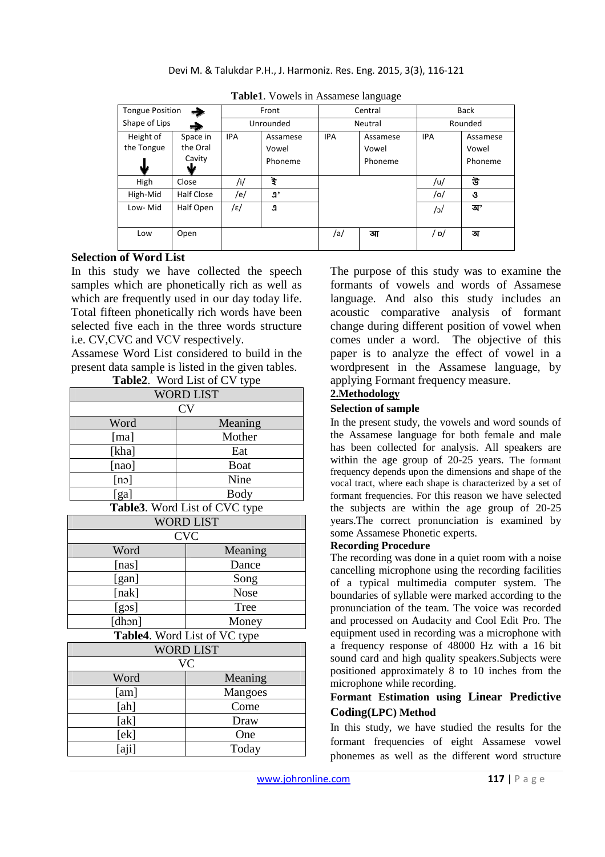| <b>Tongue Position</b><br>- |            | Front      |          | Central    |          | <b>Back</b> |          |  |
|-----------------------------|------------|------------|----------|------------|----------|-------------|----------|--|
| Shape of Lips<br>÷.         |            | Unrounded  |          | Neutral    |          | Rounded     |          |  |
| Height of                   | Space in   | <b>IPA</b> | Assamese | <b>IPA</b> | Assamese | <b>IPA</b>  | Assamese |  |
| the Tongue                  | the Oral   |            | Vowel    |            | Vowel    |             | Vowel    |  |
|                             | Cavity     |            | Phoneme  |            | Phoneme  |             | Phoneme  |  |
| sk                          | sle        |            |          |            |          |             |          |  |
| High                        | Close      | /i/        | ই        |            |          | /u/         | উ        |  |
| High-Mid                    | Half Close | /e/        | ŋ,       |            |          | /o/         | उ        |  |
| Low-Mid                     | Half Open  | /ε/        | J.       |            |          | /с\         | অ'       |  |
|                             |            |            |          |            |          |             |          |  |
| Low                         | Open       |            |          | /a/        | আ        | / o/        | অ        |  |
|                             |            |            |          |            |          |             |          |  |

**Table1**. Vowels in Assamese language

## **Selection of Word List**

In this study we have collected the speech samples which are phonetically rich as well as which are frequently used in our day today life. Total fifteen phonetically rich words have been selected five each in the three words structure i.e. CV,CVC and VCV respectively.

Assamese Word List considered to build in the present data sample is listed in the given tables.

| Table2. Word List of CV type |             |  |  |  |  |  |
|------------------------------|-------------|--|--|--|--|--|
| <b>WORD LIST</b>             |             |  |  |  |  |  |
| CV                           |             |  |  |  |  |  |
| Word                         | Meaning     |  |  |  |  |  |
| [ma]                         | Mother      |  |  |  |  |  |
| [kha]                        | Eat         |  |  |  |  |  |
| [nao]                        | <b>Boat</b> |  |  |  |  |  |
| $[n \circ]$                  | Nine        |  |  |  |  |  |
| [ga]                         | Body        |  |  |  |  |  |

#### **Table3**. Word List of CVC type

| <b>WORD LIST</b> |             |  |  |  |  |  |
|------------------|-------------|--|--|--|--|--|
| <b>CVC</b>       |             |  |  |  |  |  |
| Word             | Meaning     |  |  |  |  |  |
| [nas]            | Dance       |  |  |  |  |  |
| [gan]            | Song        |  |  |  |  |  |
| [nak]            | <b>Nose</b> |  |  |  |  |  |
| $[$ gos]         | Tree        |  |  |  |  |  |
| [dhən]           | Money       |  |  |  |  |  |

**Table4**. Word List of VC type

| <b>WORD LIST</b> |                |  |  |  |  |  |
|------------------|----------------|--|--|--|--|--|
| VC               |                |  |  |  |  |  |
| Word             | Meaning        |  |  |  |  |  |
| [am]             | <b>Mangoes</b> |  |  |  |  |  |
| [ah]             | Come           |  |  |  |  |  |
| [ak]             | Draw           |  |  |  |  |  |
| [ek]             | One            |  |  |  |  |  |
| aji              | Today          |  |  |  |  |  |

The purpose of this study was to examine the formants of vowels and words of Assamese language. And also this study includes an acoustic comparative analysis of formant change during different position of vowel when comes under a word. The objective of this paper is to analyze the effect of vowel in a wordpresent in the Assamese language, by applying Formant frequency measure.

#### **2.Methodology**

#### **Selection of sample**

In the present study, the vowels and word sounds of the Assamese language for both female and male has been collected for analysis. All speakers are within the age group of 20-25 years. The formant frequency depends upon the dimensions and shape of the vocal tract, where each shape is characterized by a set of formant frequencies. For this reason we have selected the subjects are within the age group of 20-25 years.The correct pronunciation is examined by some Assamese Phonetic experts.

#### **Recording Procedure**

The recording was done in a quiet room with a noise cancelling microphone using the recording facilities of a typical multimedia computer system. The boundaries of syllable were marked according to the pronunciation of the team. The voice was recorded and processed on Audacity and Cool Edit Pro. The equipment used in recording was a microphone with a frequency response of 48000 Hz with a 16 bit sound card and high quality speakers.Subjects were positioned approximately 8 to 10 inches from the microphone while recording.

## **Formant Estimation using Linear Predictive Coding(LPC) Method**

In this study, we have studied the results for the formant frequencies of eight Assamese vowel phonemes as well as the different word structure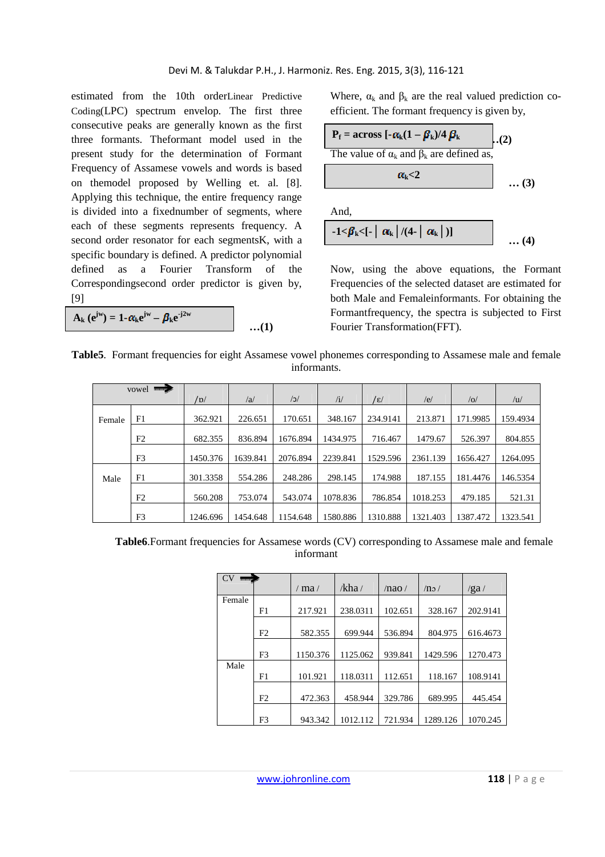estimated from the 10th orderLinear Predictive Coding(LPC) spectrum envelop. The first three consecutive peaks are generally known as the first three formants. Theformant model used in the present study for the determination of Formant Frequency of Assamese vowels and words is based on themodel proposed by Welling et. al. [8]. Applying this technique, the entire frequency range is divided into a fixednumber of segments, where each of these segments represents frequency. A second order resonator for each segmentsK, with a specific boundary is defined. A predictor polynomial defined as a Fourier Transform of the Correspondingsecond order predictor is given by, [9]

$$
A_{k} (e^{jw}) = 1 - \alpha_{k} e^{jw} - \beta_{k} e^{-j2w}
$$
...(1)

Where,  $\alpha_k$  and  $\beta_k$  are the real valued prediction coefficient. The formant frequency is given by,



Now, using the above equations, the Formant Frequencies of the selected dataset are estimated for both Male and Femaleinformants. For obtaining the Formantfrequency, the spectra is subjected to First Fourier Transformation(FFT).

**Table5**. Formant frequencies for eight Assamese vowel phonemes corresponding to Assamese male and female informants.

| vowel $\blacksquare$ |                |          |          |            |          |          |          |          |          |
|----------------------|----------------|----------|----------|------------|----------|----------|----------|----------|----------|
|                      |                | /D/      | /a       | $\sqrt{c}$ | /i/      | /ε/      | /e/      | o        | /u/      |
| Female               | F1             | 362.921  | 226.651  | 170.651    | 348.167  | 234.9141 | 213.871  | 171.9985 | 159.4934 |
|                      | F2             | 682.355  | 836.894  | 1676.894   | 1434.975 | 716.467  | 1479.67  | 526.397  | 804.855  |
|                      | F <sub>3</sub> | 1450.376 | 1639.841 | 2076.894   | 2239.841 | 1529.596 | 2361.139 | 1656.427 | 1264.095 |
| Male                 | F1             | 301.3358 | 554.286  | 248.286    | 298.145  | 174.988  | 187.155  | 181.4476 | 146.5354 |
|                      | F2             | 560.208  | 753.074  | 543.074    | 1078.836 | 786.854  | 1018.253 | 479.185  | 521.31   |
|                      | F <sub>3</sub> | 1246.696 | 1454.648 | 1154.648   | 1580.886 | 1310.888 | 1321.403 | 1387.472 | 1323.541 |

Table6.Formant frequencies for Assamese words (CV) corresponding to Assamese male and female informant

| CV     |                |            |          |         |          |          |
|--------|----------------|------------|----------|---------|----------|----------|
|        |                | $/$ ma $/$ | /kha/    | /nao/   | /no/     | /ga/     |
| Female |                |            |          |         |          |          |
|        | F1             | 217.921    | 238.0311 | 102.651 | 328.167  | 202.9141 |
|        |                |            |          |         |          |          |
|        | F <sub>2</sub> | 582.355    | 699.944  | 536.894 | 804.975  | 616.4673 |
|        |                |            |          |         |          |          |
|        | F <sub>3</sub> | 1150.376   | 1125.062 | 939.841 | 1429.596 | 1270.473 |
| Male   |                |            |          |         |          |          |
|        | F1             | 101.921    | 118.0311 | 112.651 | 118.167  | 108.9141 |
|        |                |            |          |         |          |          |
|        | F2             | 472.363    | 458.944  | 329.786 | 689.995  | 445.454  |
|        |                |            |          |         |          |          |
|        | F <sub>3</sub> | 943.342    | 1012.112 | 721.934 | 1289.126 | 1070.245 |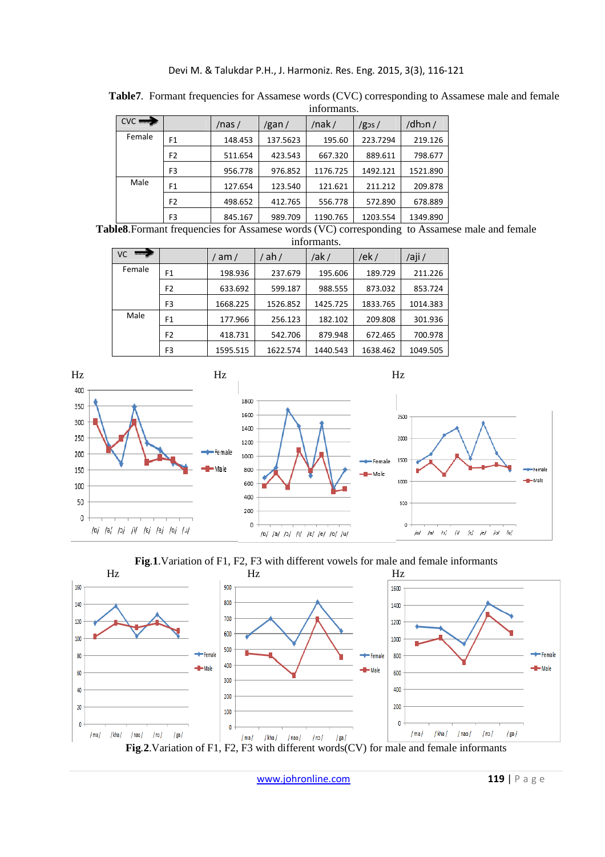#### Devi M. & Talukdar P.H., J. Harmoniz. Res. Eng. 2015, 3(3), 116-121

|                       | ппотпания.     |           |          |          |                 |          |  |  |
|-----------------------|----------------|-----------|----------|----------|-----------------|----------|--|--|
| $\text{cyc} \implies$ |                | $/$ nas / | /gan/    | /nak/    | $/g_{\rm 3S}$ / | /dhon/   |  |  |
| Female                | F1             | 148.453   | 137.5623 | 195.60   | 223.7294        | 219.126  |  |  |
|                       | F <sub>2</sub> | 511.654   | 423.543  | 667.320  | 889.611         | 798.677  |  |  |
|                       | F <sub>3</sub> | 956.778   | 976.852  | 1176.725 | 1492.121        | 1521.890 |  |  |
| Male                  | F <sub>1</sub> | 127.654   | 123.540  | 121.621  | 211.212         | 209.878  |  |  |
|                       | F <sub>2</sub> | 498.652   | 412.765  | 556.778  | 572.890         | 678.889  |  |  |
|                       | F3             | 845.167   | 989.709  | 1190.765 | 1203.554        | 1349.890 |  |  |

**Table7**. Formant frequencies for Assamese words (CVC) corresponding to Assamese male and female informants.

Table8.Formant frequencies for Assamese words (VC) corresponding to Assamese male and female  $\cdots$ 

|                 | ппогшашь.      |          |          |          |          |          |  |  |
|-----------------|----------------|----------|----------|----------|----------|----------|--|--|
| VC.<br>manager. |                | am/      | ah/      | /ak /    | /ek/     | /aji /   |  |  |
| Female          | F1             | 198.936  | 237.679  | 195.606  | 189.729  | 211.226  |  |  |
|                 | F2             | 633.692  | 599.187  | 988.555  | 873.032  | 853.724  |  |  |
|                 | F <sub>3</sub> | 1668.225 | 1526.852 | 1425.725 | 1833.765 | 1014.383 |  |  |
| Male            | F <sub>1</sub> | 177.966  | 256.123  | 182.102  | 209.808  | 301.936  |  |  |
|                 | F <sub>2</sub> | 418.731  | 542.706  | 879.948  | 672.465  | 700.978  |  |  |
|                 | F3             | 1595.515 | 1622.574 | 1440.543 | 1638.462 | 1049.505 |  |  |







www.johronline.com **119** | P a g e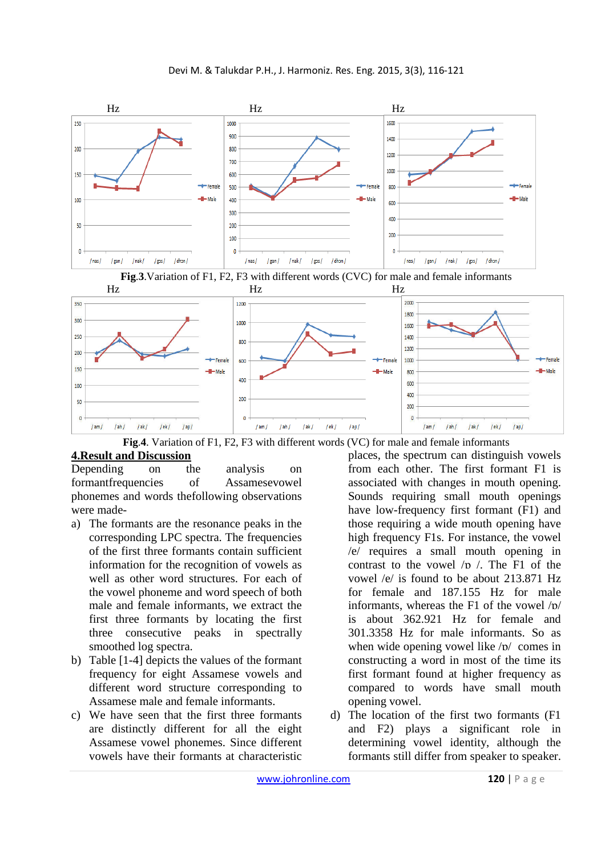





**Fig**.**4**. Variation of F1, F2, F3 with different words (VC) for male and female informants

# **4.Result and Discussion**

Depending on the analysis on formantfrequencies of Assamesevowel phonemes and words thefollowing observations were made-

- a) The formants are the resonance peaks in the corresponding LPC spectra. The frequencies of the first three formants contain sufficient information for the recognition of vowels as well as other word structures. For each of the vowel phoneme and word speech of both male and female informants, we extract the first three formants by locating the first three consecutive peaks in spectrally smoothed log spectra.
- b) Table [1-4] depicts the values of the formant frequency for eight Assamese vowels and different word structure corresponding to Assamese male and female informants.
- c) We have seen that the first three formants are distinctly different for all the eight Assamese vowel phonemes. Since different vowels have their formants at characteristic

places, the spectrum can distinguish vowels from each other. The first formant F1 is associated with changes in mouth opening. Sounds requiring small mouth openings have low-frequency first formant (F1) and those requiring a wide mouth opening have high frequency F1s. For instance, the vowel /e/ requires a small mouth opening in contrast to the vowel  $/p / c$ . The F1 of the vowel /e/ is found to be about 213.871 Hz for female and 187.155 Hz for male informants, whereas the F1 of the vowel /ɒ/ is about 362.921 Hz for female and 301.3358 Hz for male informants. So as when wide opening vowel like /ɒ/ comes in constructing a word in most of the time its first formant found at higher frequency as compared to words have small mouth opening vowel.

d) The location of the first two formants (F1 and F2) plays a significant role in determining vowel identity, although the formants still differ from speaker to speaker.